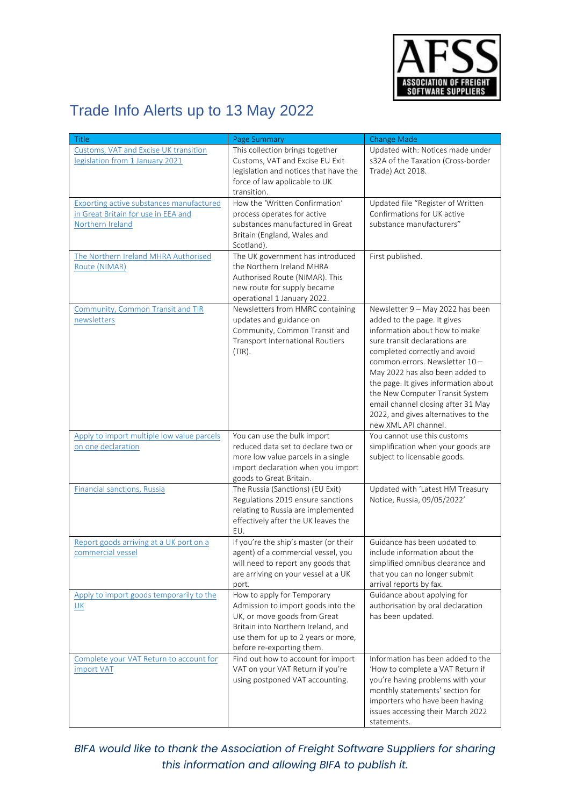

## Trade Info Alerts up to 13 May 2022

| <b>Title</b>                                                                                               | Page Summary                                                                                                                                                                                               | Change Made                                                                                                                                                                                                                                                                                                                                                                                                            |
|------------------------------------------------------------------------------------------------------------|------------------------------------------------------------------------------------------------------------------------------------------------------------------------------------------------------------|------------------------------------------------------------------------------------------------------------------------------------------------------------------------------------------------------------------------------------------------------------------------------------------------------------------------------------------------------------------------------------------------------------------------|
| Customs, VAT and Excise UK transition<br>legislation from 1 January 2021                                   | This collection brings together<br>Customs, VAT and Excise EU Exit<br>legislation and notices that have the<br>force of law applicable to UK<br>transition.                                                | Updated with: Notices made under<br>s32A of the Taxation (Cross-border<br>Trade) Act 2018.                                                                                                                                                                                                                                                                                                                             |
| <b>Exporting active substances manufactured</b><br>in Great Britain for use in EEA and<br>Northern Ireland | How the 'Written Confirmation'<br>process operates for active<br>substances manufactured in Great<br>Britain (England, Wales and<br>Scotland).                                                             | Updated file "Register of Written<br>Confirmations for UK active<br>substance manufacturers"                                                                                                                                                                                                                                                                                                                           |
| The Northern Ireland MHRA Authorised<br>Route (NIMAR)                                                      | The UK government has introduced<br>the Northern Ireland MHRA<br>Authorised Route (NIMAR). This<br>new route for supply became<br>operational 1 January 2022.                                              | First published.                                                                                                                                                                                                                                                                                                                                                                                                       |
| <b>Community, Common Transit and TIR</b><br>newsletters                                                    | Newsletters from HMRC containing<br>updates and guidance on<br>Community, Common Transit and<br><b>Transport International Routiers</b><br>$(TIR)$ .                                                       | Newsletter 9 - May 2022 has been<br>added to the page. It gives<br>information about how to make<br>sure transit declarations are<br>completed correctly and avoid<br>common errors. Newsletter 10-<br>May 2022 has also been added to<br>the page. It gives information about<br>the New Computer Transit System<br>email channel closing after 31 May<br>2022, and gives alternatives to the<br>new XML API channel. |
| Apply to import multiple low value parcels<br>on one declaration                                           | You can use the bulk import<br>reduced data set to declare two or<br>more low value parcels in a single<br>import declaration when you import<br>goods to Great Britain.                                   | You cannot use this customs<br>simplification when your goods are<br>subject to licensable goods.                                                                                                                                                                                                                                                                                                                      |
| <b>Financial sanctions, Russia</b>                                                                         | The Russia (Sanctions) (EU Exit)<br>Regulations 2019 ensure sanctions<br>relating to Russia are implemented<br>effectively after the UK leaves the<br>EU.                                                  | Updated with 'Latest HM Treasury<br>Notice, Russia, 09/05/2022'                                                                                                                                                                                                                                                                                                                                                        |
| Report goods arriving at a UK port on a<br>commercial vessel                                               | If you're the ship's master (or their<br>agent) of a commercial vessel, you<br>will need to report any goods that<br>are arriving on your vessel at a UK<br>port.                                          | Guidance has been updated to<br>include information about the<br>simplified omnibus clearance and<br>that you can no longer submit<br>arrival reports by fax.                                                                                                                                                                                                                                                          |
| Apply to import goods temporarily to the<br>UK                                                             | How to apply for Temporary<br>Admission to import goods into the<br>UK, or move goods from Great<br>Britain into Northern Ireland, and<br>use them for up to 2 years or more,<br>before re-exporting them. | Guidance about applying for<br>authorisation by oral declaration<br>has been updated.                                                                                                                                                                                                                                                                                                                                  |
| Complete your VAT Return to account for<br>import VAT                                                      | Find out how to account for import<br>VAT on your VAT Return if you're<br>using postponed VAT accounting.                                                                                                  | Information has been added to the<br>'How to complete a VAT Return if<br>you're having problems with your<br>monthly statements' section for<br>importers who have been having<br>issues accessing their March 2022<br>statements.                                                                                                                                                                                     |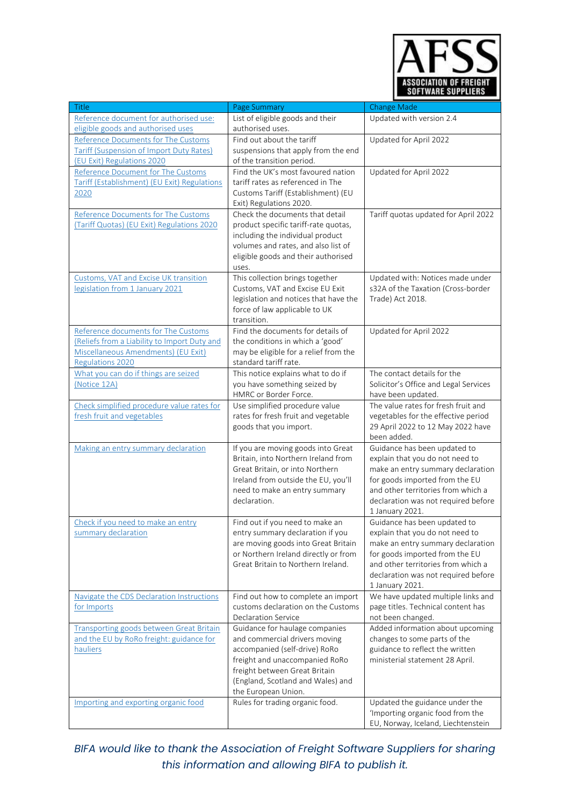

| <b>Title</b>                                    | Page Summary                                                           | <b>Change Made</b>                                                  |
|-------------------------------------------------|------------------------------------------------------------------------|---------------------------------------------------------------------|
| Reference document for authorised use:          | List of eligible goods and their                                       | Updated with version 2.4                                            |
| eligible goods and authorised uses              | authorised uses.                                                       |                                                                     |
| Reference Documents for The Customs             | Find out about the tariff                                              | Updated for April 2022                                              |
| <b>Tariff (Suspension of Import Duty Rates)</b> | suspensions that apply from the end                                    |                                                                     |
| (EU Exit) Regulations 2020                      | of the transition period.                                              |                                                                     |
| Reference Document for The Customs              | Find the UK's most favoured nation                                     | Updated for April 2022                                              |
| Tariff (Establishment) (EU Exit) Regulations    | tariff rates as referenced in The                                      |                                                                     |
| 2020                                            | Customs Tariff (Establishment) (EU<br>Exit) Regulations 2020.          |                                                                     |
| Reference Documents for The Customs             | Check the documents that detail                                        | Tariff quotas updated for April 2022                                |
| (Tariff Quotas) (EU Exit) Regulations 2020      | product specific tariff-rate quotas,                                   |                                                                     |
|                                                 | including the individual product                                       |                                                                     |
|                                                 | volumes and rates, and also list of                                    |                                                                     |
|                                                 | eligible goods and their authorised                                    |                                                                     |
|                                                 | uses.                                                                  |                                                                     |
| Customs, VAT and Excise UK transition           | This collection brings together                                        | Updated with: Notices made under                                    |
| legislation from 1 January 2021                 | Customs, VAT and Excise EU Exit                                        | s32A of the Taxation (Cross-border                                  |
|                                                 | legislation and notices that have the                                  | Trade) Act 2018.                                                    |
|                                                 | force of law applicable to UK                                          |                                                                     |
| Reference documents for The Customs             | transition.<br>Find the documents for details of                       | Updated for April 2022                                              |
| (Reliefs from a Liability to Import Duty and    | the conditions in which a 'good'                                       |                                                                     |
| Miscellaneous Amendments) (EU Exit)             | may be eligible for a relief from the                                  |                                                                     |
| Regulations 2020                                | standard tariff rate.                                                  |                                                                     |
| What you can do if things are seized            | This notice explains what to do if                                     | The contact details for the                                         |
| (Notice 12A)                                    | you have something seized by                                           | Solicitor's Office and Legal Services                               |
|                                                 | HMRC or Border Force.                                                  | have been updated.                                                  |
| Check simplified procedure value rates for      | Use simplified procedure value                                         | The value rates for fresh fruit and                                 |
| fresh fruit and vegetables                      | rates for fresh fruit and vegetable                                    | vegetables for the effective period                                 |
|                                                 | goods that you import.                                                 | 29 April 2022 to 12 May 2022 have                                   |
|                                                 |                                                                        | been added.                                                         |
| Making an entry summary declaration             | If you are moving goods into Great                                     | Guidance has been updated to                                        |
|                                                 | Britain, into Northern Ireland from                                    | explain that you do not need to                                     |
|                                                 | Great Britain, or into Northern<br>Ireland from outside the EU, you'll | make an entry summary declaration<br>for goods imported from the EU |
|                                                 | need to make an entry summary                                          | and other territories from which a                                  |
|                                                 | declaration.                                                           | declaration was not required before                                 |
|                                                 |                                                                        | 1 January 2021.                                                     |
| Check if you need to make an entry              | Find out if you need to make an                                        | Guidance has been updated to                                        |
| summary declaration                             | entry summary declaration if you                                       | explain that you do not need to                                     |
|                                                 | are moving goods into Great Britain                                    | make an entry summary declaration                                   |
|                                                 | or Northern Ireland directly or from                                   | for goods imported from the EU                                      |
|                                                 | Great Britain to Northern Ireland.                                     | and other territories from which a                                  |
|                                                 |                                                                        | declaration was not required before                                 |
| Navigate the CDS Declaration Instructions       | Find out how to complete an import                                     | 1 January 2021.<br>We have updated multiple links and               |
| for Imports                                     | customs declaration on the Customs                                     | page titles. Technical content has                                  |
|                                                 | <b>Declaration Service</b>                                             | not been changed.                                                   |
| <b>Transporting goods between Great Britain</b> | Guidance for haulage companies                                         | Added information about upcoming                                    |
| and the EU by RoRo freight: guidance for        | and commercial drivers moving                                          | changes to some parts of the                                        |
| hauliers                                        | accompanied (self-drive) RoRo                                          | guidance to reflect the written                                     |
|                                                 | freight and unaccompanied RoRo                                         | ministerial statement 28 April.                                     |
|                                                 | freight between Great Britain                                          |                                                                     |
|                                                 | (England, Scotland and Wales) and                                      |                                                                     |
|                                                 | the European Union.                                                    |                                                                     |
| Importing and exporting organic food            | Rules for trading organic food.                                        | Updated the guidance under the<br>'Importing organic food from the  |
|                                                 |                                                                        | EU, Norway, Iceland, Liechtenstein                                  |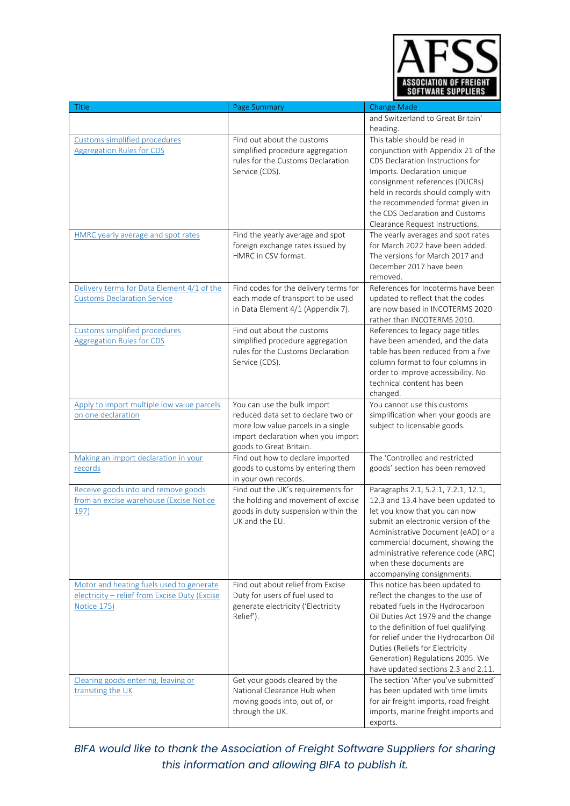

| <b>Title</b>                                  | Page Summary                                                             | <b>Change Made</b>                                                    |
|-----------------------------------------------|--------------------------------------------------------------------------|-----------------------------------------------------------------------|
|                                               |                                                                          | and Switzerland to Great Britain'                                     |
|                                               |                                                                          | heading.                                                              |
| Customs simplified procedures                 | Find out about the customs                                               | This table should be read in                                          |
| <b>Aggregation Rules for CDS</b>              | simplified procedure aggregation                                         | conjunction with Appendix 21 of the                                   |
|                                               | rules for the Customs Declaration                                        | CDS Declaration Instructions for                                      |
|                                               | Service (CDS).                                                           | Imports. Declaration unique                                           |
|                                               |                                                                          | consignment references (DUCRs)                                        |
|                                               |                                                                          | held in records should comply with                                    |
|                                               |                                                                          | the recommended format given in                                       |
|                                               |                                                                          | the CDS Declaration and Customs                                       |
| HMRC yearly average and spot rates            |                                                                          | Clearance Request Instructions.<br>The yearly averages and spot rates |
|                                               | Find the yearly average and spot<br>foreign exchange rates issued by     | for March 2022 have been added.                                       |
|                                               | HMRC in CSV format.                                                      | The versions for March 2017 and                                       |
|                                               |                                                                          | December 2017 have been                                               |
|                                               |                                                                          | removed.                                                              |
| Delivery terms for Data Element 4/1 of the    | Find codes for the delivery terms for                                    | References for Incoterms have been                                    |
| <b>Customs Declaration Service</b>            | each mode of transport to be used                                        | updated to reflect that the codes                                     |
|                                               | in Data Element 4/1 (Appendix 7).                                        | are now based in INCOTERMS 2020                                       |
|                                               |                                                                          | rather than INCOTERMS 2010.                                           |
| Customs simplified procedures                 | Find out about the customs                                               | References to legacy page titles                                      |
| <b>Aggregation Rules for CDS</b>              | simplified procedure aggregation                                         | have been amended, and the data                                       |
|                                               | rules for the Customs Declaration                                        | table has been reduced from a five                                    |
|                                               | Service (CDS).                                                           | column format to four columns in                                      |
|                                               |                                                                          | order to improve accessibility. No                                    |
|                                               |                                                                          | technical content has been                                            |
|                                               |                                                                          | changed.                                                              |
| Apply to import multiple low value parcels    | You can use the bulk import                                              | You cannot use this customs                                           |
| on one declaration                            | reduced data set to declare two or                                       | simplification when your goods are                                    |
|                                               | more low value parcels in a single<br>import declaration when you import | subject to licensable goods.                                          |
|                                               | goods to Great Britain.                                                  |                                                                       |
| Making an import declaration in your          | Find out how to declare imported                                         | The 'Controlled and restricted                                        |
| records                                       | goods to customs by entering them                                        | goods' section has been removed                                       |
|                                               | in your own records.                                                     |                                                                       |
| Receive goods into and remove goods           | Find out the UK's requirements for                                       | Paragraphs 2.1, 5.2.1, 7.2.1, 12.1,                                   |
| from an excise warehouse (Excise Notice       | the holding and movement of excise                                       | 12.3 and 13.4 have been updated to                                    |
| 197)                                          | goods in duty suspension within the                                      | let you know that you can now                                         |
|                                               | UK and the EU.                                                           | submit an electronic version of the                                   |
|                                               |                                                                          | Administrative Document (eAD) or a                                    |
|                                               |                                                                          | commercial document, showing the                                      |
|                                               |                                                                          | administrative reference code (ARC)                                   |
|                                               |                                                                          | when these documents are                                              |
| Motor and heating fuels used to generate      | Find out about relief from Excise                                        | accompanying consignments.                                            |
| electricity - relief from Excise Duty (Excise | Duty for users of fuel used to                                           | This notice has been updated to<br>reflect the changes to the use of  |
| Notice 175)                                   | generate electricity ('Electricity                                       | rebated fuels in the Hydrocarbon                                      |
|                                               | Relief').                                                                | Oil Duties Act 1979 and the change                                    |
|                                               |                                                                          | to the definition of fuel qualifying                                  |
|                                               |                                                                          | for relief under the Hydrocarbon Oil                                  |
|                                               |                                                                          | Duties (Reliefs for Electricity                                       |
|                                               |                                                                          | Generation) Regulations 2005. We                                      |
|                                               |                                                                          | have updated sections 2.3 and 2.11.                                   |
| Clearing goods entering, leaving or           | Get your goods cleared by the                                            | The section 'After you've submitted'                                  |
| transiting the UK                             | National Clearance Hub when                                              | has been updated with time limits                                     |
|                                               | moving goods into, out of, or                                            | for air freight imports, road freight                                 |
|                                               | through the UK.                                                          | imports, marine freight imports and                                   |
|                                               |                                                                          | exports.                                                              |